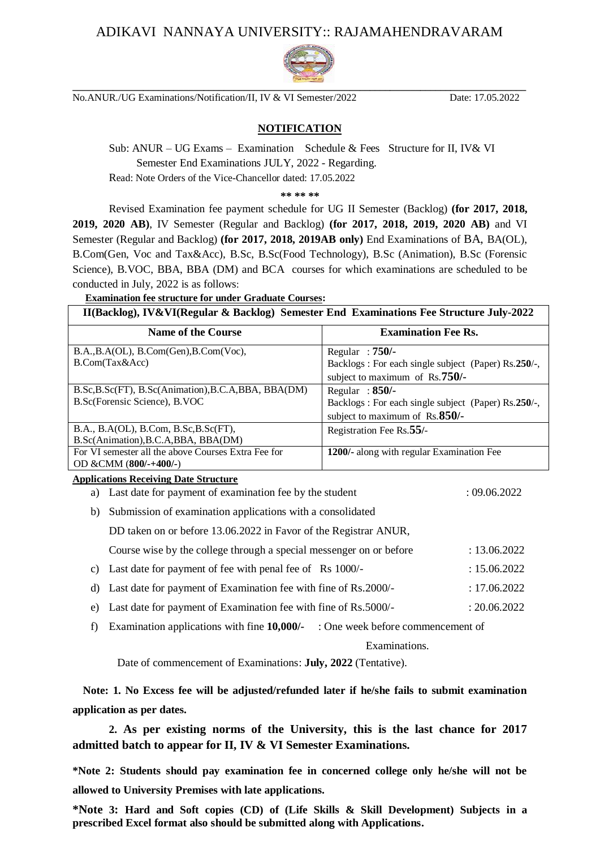## ADIKAVI NANNAYA UNIVERSITY:: RAJAMAHENDRAVARAM



No.ANUR./UG Examinations/Notification/II, IV & VI Semester/2022 Date: 17.05.2022

## **NOTIFICATION**

Sub: ANUR – UG Exams – Examination Schedule & Fees Structure for II, IV& VI Semester End Examinations JULY, 2022 - Regarding. Read: Note Orders of the Vice-Chancellor dated: 17.05.2022

**\*\* \*\* \*\***

Revised Examination fee payment schedule for UG II Semester (Backlog) **(for 2017, 2018, 2019, 2020 AB)**, IV Semester (Regular and Backlog) **(for 2017, 2018, 2019, 2020 AB)** and VI Semester (Regular and Backlog) **(for 2017, 2018, 2019AB only)** End Examinations of BA, BA(OL), B.Com(Gen, Voc and Tax&Acc), B.Sc, B.Sc(Food Technology), B.Sc (Animation), B.Sc (Forensic Science), B.VOC, BBA, BBA (DM) and BCA courses for which examinations are scheduled to be conducted in July, 2022 is as follows:

| <b>Examination fee structure for under Graduate Courses:</b>                            |                                                                                                                    |  |  |  |  |
|-----------------------------------------------------------------------------------------|--------------------------------------------------------------------------------------------------------------------|--|--|--|--|
| II(Backlog), IV&VI(Regular & Backlog) Semester End Examinations Fee Structure July-2022 |                                                                                                                    |  |  |  |  |
| <b>Name of the Course</b>                                                               | <b>Examination Fee Rs.</b>                                                                                         |  |  |  |  |
| B.A., B.A(OL), B.Com(Gen), B.Com(Voc),<br>B.Com(Tax&Acc)                                | Regular: $750/-$<br>Backlogs: For each single subject (Paper) Rs.250/-,<br>subject to maximum of $\text{Rs.750/-}$ |  |  |  |  |
| B.Sc, B.Sc(FT), B.Sc(Animation), B.C.A, BBA, BBA(DM)<br>B.Sc(Forensic Science), B.VOC   | Regular: $850/-$<br>Backlogs: For each single subject (Paper) Rs.250/-,<br>subject to maximum of $\text{Rs.850/-}$ |  |  |  |  |
| B.A., B.A(OL), B.Com, B.Sc, B.Sc(FT),<br>B.Sc(Animation), B.C.A, BBA, BBA(DM)           | Registration Fee Rs.55/-                                                                                           |  |  |  |  |

## OD &CMM (**800/-+400/-**) **Applications Receiving Date Structure**

For VI semester all the above Courses Extra Fee for

- a) Last date for payment of examination fee by the student : 09.06.2022
- b) Submission of examination applications with a consolidated

DD taken on or before 13.06.2022 in Favor of the Registrar ANUR,

- Course wise by the college through a special messenger on or before : 13.06.2022
- c) Last date for payment of fee with penal fee of Rs 1000/- : 15.06.2022
- d) Last date for payment of Examination fee with fine of Rs.2000/- : 17.06.2022
- e) Last date for payment of Examination fee with fine of Rs.5000/- : 20.06.2022
- f) Examination applications with fine **10,000/-** : One week before commencement of

Examinations.

**1200/-** along with regular Examination Fee

Date of commencement of Examinations: **July, 2022** (Tentative).

 **Note: 1. No Excess fee will be adjusted/refunded later if he/she fails to submit examination application as per dates.** 

**2. As per existing norms of the University, this is the last chance for 2017 admitted batch to appear for II, IV & VI Semester Examinations.**

**\*Note 2: Students should pay examination fee in concerned college only he/she will not be allowed to University Premises with late applications.** 

**\*Note 3: Hard and Soft copies (CD) of (Life Skills & Skill Development) Subjects in a prescribed Excel format also should be submitted along with Applications.**